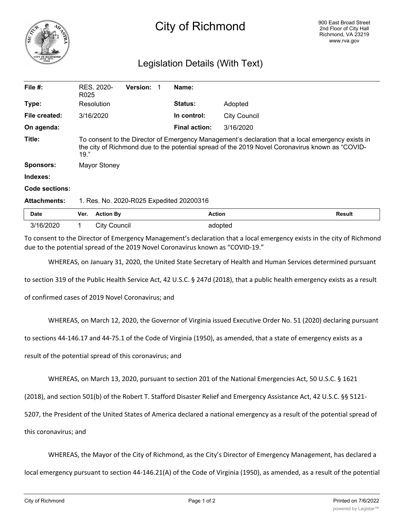

## City of Richmond

## Legislation Details (With Text)

| File $#$ :          | R025                                                                                                                                                                                                         | RES. 2020-          | <b>Version:</b> |  | Name:                |                     |               |
|---------------------|--------------------------------------------------------------------------------------------------------------------------------------------------------------------------------------------------------------|---------------------|-----------------|--|----------------------|---------------------|---------------|
| Type:               |                                                                                                                                                                                                              | Resolution          |                 |  | <b>Status:</b>       | Adopted             |               |
| File created:       | 3/16/2020                                                                                                                                                                                                    |                     |                 |  | In control:          | <b>City Council</b> |               |
| On agenda:          |                                                                                                                                                                                                              |                     |                 |  | <b>Final action:</b> | 3/16/2020           |               |
| Title:              | To consent to the Director of Emergency Management's declaration that a local emergency exists in<br>the city of Richmond due to the potential spread of the 2019 Novel Coronavirus known as "COVID-<br>19." |                     |                 |  |                      |                     |               |
| <b>Sponsors:</b>    |                                                                                                                                                                                                              | Mayor Stoney        |                 |  |                      |                     |               |
| Indexes:            |                                                                                                                                                                                                              |                     |                 |  |                      |                     |               |
| Code sections:      |                                                                                                                                                                                                              |                     |                 |  |                      |                     |               |
| <b>Attachments:</b> | 1. Res. No. 2020-R025 Expedited 20200316                                                                                                                                                                     |                     |                 |  |                      |                     |               |
| <b>Date</b>         | Ver.                                                                                                                                                                                                         | <b>Action By</b>    |                 |  | <b>Action</b>        |                     | <b>Result</b> |
| 3/16/2020           |                                                                                                                                                                                                              | <b>City Council</b> |                 |  |                      | adopted             |               |

To consent to the Director of Emergency Management's declaration that a local emergency exists in the city of Richmond due to the potential spread of the 2019 Novel Coronavirus known as "COVID-19."

WHEREAS, on January 31, 2020, the United State Secretary of Health and Human Services determined pursuant

to section 319 of the Public Health Service Act, 42 U.S.C. § 247d (2018), that a public health emergency exists as a result

of confirmed cases of 2019 Novel Coronavirus; and

WHEREAS, on March 12, 2020, the Governor of Virginia issued Executive Order No. 51 (2020) declaring pursuant

to sections 44-146.17 and 44-75.1 of the Code of Virginia (1950), as amended, that a state of emergency exists as a

result of the potential spread of this coronavirus; and

WHEREAS, on March 13, 2020, pursuant to section 201 of the National Emergencies Act, 50 U.S.C. § 1621

(2018), and section 501(b) of the Robert T. Stafford Disaster Relief and Emergency Assistance Act, 42 U.S.C. §§ 5121-

5207, the President of the United States of America declared a national emergency as a result of the potential spread of

this coronavirus; and

WHEREAS, the Mayor of the City of Richmond, as the City's Director of Emergency Management, has declared a

local emergency pursuant to section 44-146.21(A) of the Code of Virginia (1950), as amended, as a result of the potential